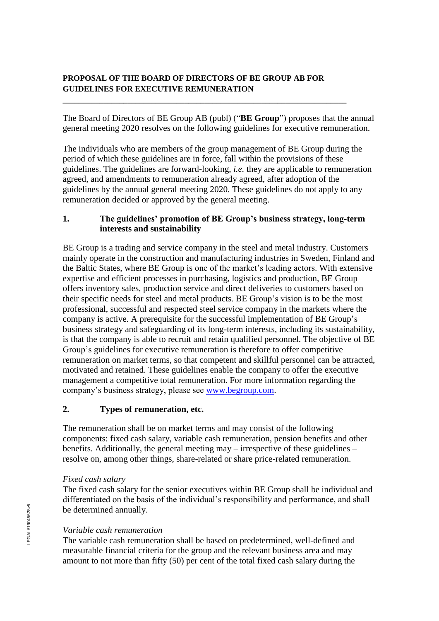## **PROPOSAL OF THE BOARD OF DIRECTORS OF BE GROUP AB FOR GUIDELINES FOR EXECUTIVE REMUNERATION**

**\_\_\_\_\_\_\_\_\_\_\_\_\_\_\_\_\_\_\_\_\_\_\_\_\_\_\_\_\_\_\_\_\_\_\_\_\_\_\_\_\_\_\_\_\_\_\_\_\_\_\_\_\_\_\_\_\_\_\_\_\_\_\_\_\_\_\_\_\_\_**

The Board of Directors of BE Group AB (publ) ("**BE Group**") proposes that the annual general meeting 2020 resolves on the following guidelines for executive remuneration.

The individuals who are members of the group management of BE Group during the period of which these guidelines are in force, fall within the provisions of these guidelines. The guidelines are forward-looking, *i.e.* they are applicable to remuneration agreed, and amendments to remuneration already agreed, after adoption of the guidelines by the annual general meeting 2020. These guidelines do not apply to any remuneration decided or approved by the general meeting.

#### **1. The guidelines' promotion of BE Group's business strategy, long-term interests and sustainability**

BE Group is a trading and service company in the steel and metal industry. Customers mainly operate in the construction and manufacturing industries in Sweden, Finland and the Baltic States, where BE Group is one of the market's leading actors. With extensive expertise and efficient processes in purchasing, logistics and production, BE Group offers inventory sales, production service and direct deliveries to customers based on their specific needs for steel and metal products. BE Group's vision is to be the most professional, successful and respected steel service company in the markets where the company is active. A prerequisite for the successful implementation of BE Group's business strategy and safeguarding of its long-term interests, including its sustainability, is that the company is able to recruit and retain qualified personnel. The objective of BE Group's guidelines for executive remuneration is therefore to offer competitive remuneration on market terms, so that competent and skillful personnel can be attracted, motivated and retained. These guidelines enable the company to offer the executive management a competitive total remuneration. For more information regarding the company's business strategy, please see [www.begroup.com.](http://www.begroup.com/)

## **2. Types of remuneration, etc.**

The remuneration shall be on market terms and may consist of the following components: fixed cash salary, variable cash remuneration, pension benefits and other benefits. Additionally, the general meeting may – irrespective of these guidelines – resolve on, among other things, share-related or share price-related remuneration.

## *Fixed cash salary*

The fixed cash salary for the senior executives within BE Group shall be individual and differentiated on the basis of the individual's responsibility and performance, and shall be determined annually.

## *Variable cash remuneration*

The variable cash remuneration shall be based on predetermined, well-defined and measurable financial criteria for the group and the relevant business area and may amount to not more than fifty (50) per cent of the total fixed cash salary during the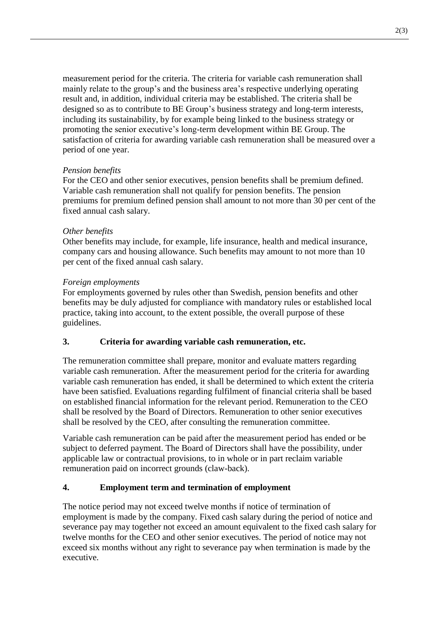measurement period for the criteria. The criteria for variable cash remuneration shall mainly relate to the group's and the business area's respective underlying operating result and, in addition, individual criteria may be established. The criteria shall be designed so as to contribute to BE Group's business strategy and long-term interests, including its sustainability, by for example being linked to the business strategy or promoting the senior executive's long-term development within BE Group. The satisfaction of criteria for awarding variable cash remuneration shall be measured over a period of one year.

#### *Pension benefits*

For the CEO and other senior executives, pension benefits shall be premium defined. Variable cash remuneration shall not qualify for pension benefits. The pension premiums for premium defined pension shall amount to not more than 30 per cent of the fixed annual cash salary.

#### *Other benefits*

Other benefits may include, for example, life insurance, health and medical insurance, company cars and housing allowance. Such benefits may amount to not more than 10 per cent of the fixed annual cash salary.

#### *Foreign employments*

For employments governed by rules other than Swedish, pension benefits and other benefits may be duly adjusted for compliance with mandatory rules or established local practice, taking into account, to the extent possible, the overall purpose of these guidelines.

## **3. Criteria for awarding variable cash remuneration, etc.**

The remuneration committee shall prepare, monitor and evaluate matters regarding variable cash remuneration. After the measurement period for the criteria for awarding variable cash remuneration has ended, it shall be determined to which extent the criteria have been satisfied. Evaluations regarding fulfilment of financial criteria shall be based on established financial information for the relevant period. Remuneration to the CEO shall be resolved by the Board of Directors. Remuneration to other senior executives shall be resolved by the CEO, after consulting the remuneration committee.

Variable cash remuneration can be paid after the measurement period has ended or be subject to deferred payment. The Board of Directors shall have the possibility, under applicable law or contractual provisions, to in whole or in part reclaim variable remuneration paid on incorrect grounds (claw-back).

## **4. Employment term and termination of employment**

The notice period may not exceed twelve months if notice of termination of employment is made by the company. Fixed cash salary during the period of notice and severance pay may together not exceed an amount equivalent to the fixed cash salary for twelve months for the CEO and other senior executives. The period of notice may not exceed six months without any right to severance pay when termination is made by the executive.